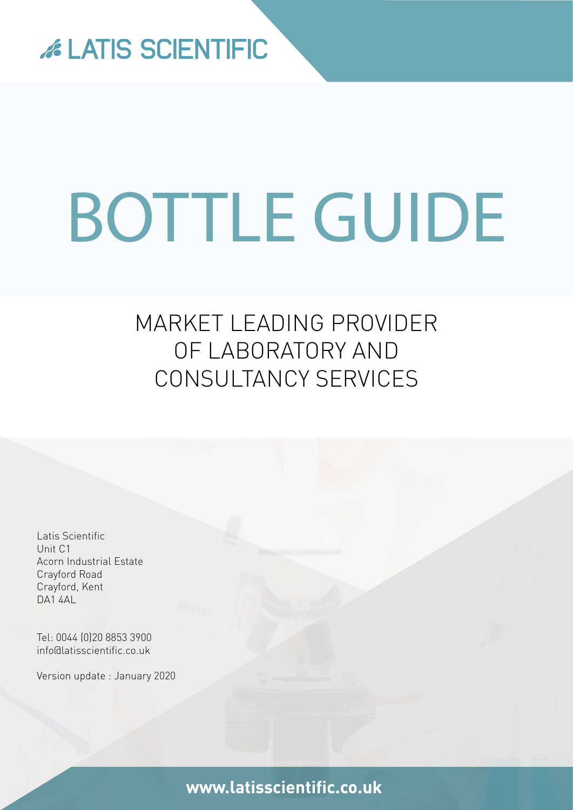

# BOTTLE GUIDE

## MARKET LEADING PROVIDER OF LABORATORY AND CONSULTANCY SERVICES

Latis Scientific Unit C1 Acorn Industrial Estate Crayford Road Crayford, Kent **DA1 4AL** 

Tel: 0044 (0)20 8853 3900 [info@latisscientific.co.uk](mailto:info%40latisscientific.co.uk?subject=)

Version update : January 2020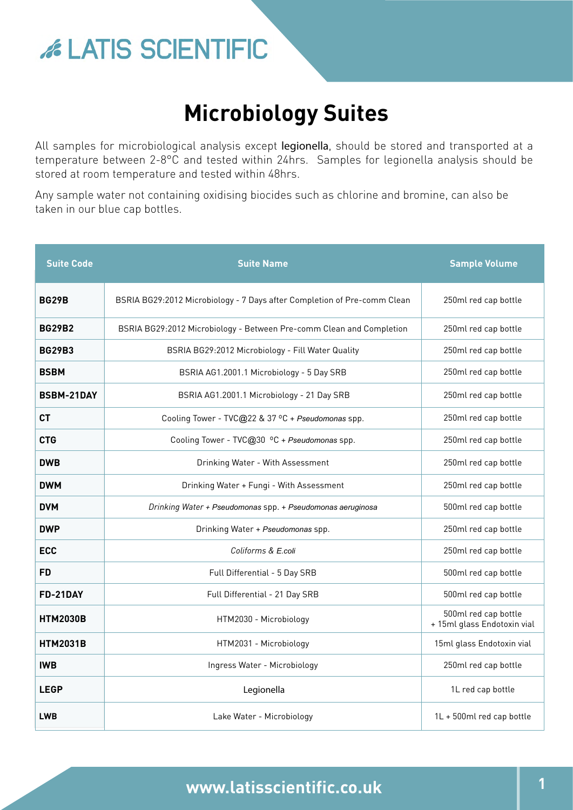## **Microbiology Suites**

All samples for microbiological analysis except legionella, should be stored and transported at a temperature between 2-8°C and tested within 24hrs. Samples for legionella analysis should be stored at room temperature and tested within 48hrs.

Any sample water not containing oxidising biocides such as chlorine and bromine, can also be taken in our blue cap bottles.

| <b>Suite Code</b> | <b>Suite Name</b>                                                        | <b>Sample Volume</b>                                |
|-------------------|--------------------------------------------------------------------------|-----------------------------------------------------|
| <b>BG29B</b>      | BSRIA BG29:2012 Microbiology - 7 Days after Completion of Pre-comm Clean | 250ml red cap bottle                                |
| <b>BG29B2</b>     | BSRIA BG29:2012 Microbiology - Between Pre-comm Clean and Completion     | 250ml red cap bottle                                |
| <b>BG29B3</b>     | BSRIA BG29:2012 Microbiology - Fill Water Quality                        | 250ml red cap bottle                                |
| <b>BSBM</b>       | BSRIA AG1.2001.1 Microbiology - 5 Day SRB                                | 250ml red cap bottle                                |
| <b>BSBM-21DAY</b> | BSRIA AG1.2001.1 Microbiology - 21 Day SRB                               | 250ml red cap bottle                                |
| <b>CT</b>         | Cooling Tower - TVC@22 & 37 °C + Pseudomonas spp.                        | 250ml red cap bottle                                |
| <b>CTG</b>        | Cooling Tower - TVC@30 °C + Pseudomonas spp.                             | 250ml red cap bottle                                |
| <b>DWB</b>        | Drinking Water - With Assessment                                         | 250ml red cap bottle                                |
| <b>DWM</b>        | Drinking Water + Fungi - With Assessment                                 | 250ml red cap bottle                                |
| <b>DVM</b>        | Drinking Water + Pseudomonas spp. + Pseudomonas aeruginosa               | 500ml red cap bottle                                |
| <b>DWP</b>        | Drinking Water + Pseudomonas spp.                                        | 250ml red cap bottle                                |
| <b>ECC</b>        | Coliforms & E.coli                                                       | 250ml red cap bottle                                |
| <b>FD</b>         | Full Differential - 5 Day SRB                                            | 500ml red cap bottle                                |
| FD-21DAY          | Full Differential - 21 Day SRB                                           | 500ml red cap bottle                                |
| <b>HTM2030B</b>   | HTM2030 - Microbiology                                                   | 500ml red cap bottle<br>+ 15ml glass Endotoxin vial |
| <b>HTM2031B</b>   | HTM2031 - Microbiology                                                   | 15ml glass Endotoxin vial                           |
| <b>IWB</b>        | Ingress Water - Microbiology                                             | 250ml red cap bottle                                |
| <b>LEGP</b>       | Legionella                                                               | 1L red cap bottle                                   |
| <b>LWB</b>        | Lake Water - Microbiology                                                | 1L + 500ml red cap bottle                           |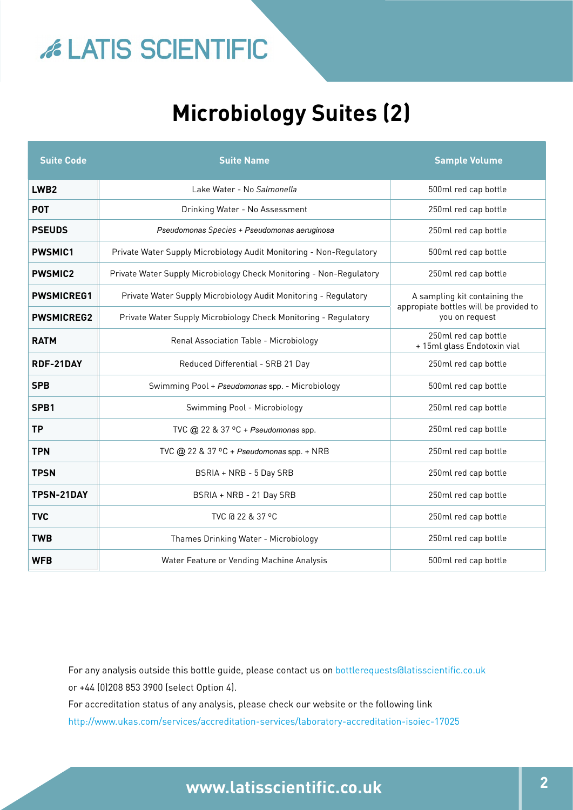## **Microbiology Suites (2)**

| <b>Suite Code</b> | <b>Suite Name</b>                                                   | <b>Sample Volume</b>                                                                      |  |
|-------------------|---------------------------------------------------------------------|-------------------------------------------------------------------------------------------|--|
| LWB <sub>2</sub>  | Lake Water - No Salmonella                                          | 500ml red cap bottle                                                                      |  |
| <b>POT</b>        | Drinking Water - No Assessment                                      | 250ml red cap bottle                                                                      |  |
| <b>PSEUDS</b>     | Pseudomonas Species + Pseudomonas aeruginosa                        | 250ml red cap bottle                                                                      |  |
| <b>PWSMIC1</b>    | Private Water Supply Microbiology Audit Monitoring - Non-Regulatory | 500ml red cap bottle                                                                      |  |
| <b>PWSMIC2</b>    | Private Water Supply Microbiology Check Monitoring - Non-Regulatory | 250ml red cap bottle                                                                      |  |
| <b>PWSMICREG1</b> | Private Water Supply Microbiology Audit Monitoring - Regulatory     | A sampling kit containing the<br>appropiate bottles will be provided to<br>you on request |  |
| <b>PWSMICREG2</b> | Private Water Supply Microbiology Check Monitoring - Regulatory     |                                                                                           |  |
| <b>RATM</b>       | Renal Association Table - Microbiology                              | 250ml red cap bottle<br>+ 15ml glass Endotoxin vial                                       |  |
| RDF-21DAY         | Reduced Differential - SRB 21 Day                                   | 250ml red cap bottle                                                                      |  |
| <b>SPB</b>        | Swimming Pool + Pseudomonas spp. - Microbiology                     | 500ml red cap bottle                                                                      |  |
| SPB1              | Swimming Pool - Microbiology                                        | 250ml red cap bottle                                                                      |  |
| <b>TP</b>         | TVC $@$ 22 & 37 °C + Pseudomonas spp.                               | 250ml red cap bottle                                                                      |  |
| <b>TPN</b>        | TVC @ 22 & 37 °C + Pseudomonas spp. + NRB                           | 250ml red cap bottle                                                                      |  |
| <b>TPSN</b>       | BSRIA + NRB - 5 Day SRB                                             | 250ml red cap bottle                                                                      |  |
| <b>TPSN-21DAY</b> | BSRIA + NRB - 21 Day SRB                                            | 250ml red cap bottle                                                                      |  |
| <b>TVC</b>        | TVC @ 22 & 37 °C                                                    | 250ml red cap bottle                                                                      |  |
| <b>TWB</b>        | Thames Drinking Water - Microbiology                                | 250ml red cap bottle                                                                      |  |
| <b>WFB</b>        | Water Feature or Vending Machine Analysis                           | 500ml red cap bottle                                                                      |  |

For any analysis outside this bottle guide, please contact us on bottlerequests@latisscientific.co.uk or +44 (0)208 853 3900 (select Option 4).

For accreditation status of any analysis, please check our website or the following link

<http://www.ukas.com/services/accreditation-services/laboratory-accreditation-isoiec-17025>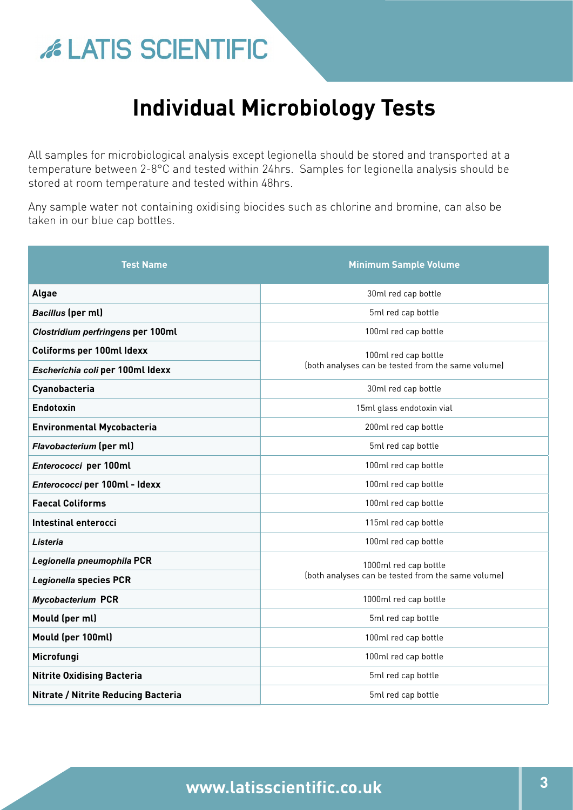## **Individual Microbiology Tests**

All samples for microbiological analysis except legionella should be stored and transported at a temperature between 2-8°C and tested within 24hrs. Samples for legionella analysis should be stored at room temperature and tested within 48hrs.

Any sample water not containing oxidising biocides such as chlorine and bromine, can also be taken in our blue cap bottles.

| <b>Test Name</b>                    | <b>Minimum Sample Volume</b>                                                |  |
|-------------------------------------|-----------------------------------------------------------------------------|--|
| <b>Algae</b>                        | 30ml red cap bottle                                                         |  |
| <b>Bacillus</b> (per ml)            | 5ml red cap bottle                                                          |  |
| Clostridium perfringens per 100ml   | 100ml red cap bottle                                                        |  |
| <b>Coliforms per 100ml Idexx</b>    | 100ml red cap bottle<br>(both analyses can be tested from the same volume)  |  |
| Escherichia coli per 100ml Idexx    |                                                                             |  |
| Cyanobacteria                       | 30ml red cap bottle                                                         |  |
| Endotoxin                           | 15ml glass endotoxin vial                                                   |  |
| <b>Environmental Mycobacteria</b>   | 200ml red cap bottle                                                        |  |
| Flavobacterium (per ml)             | 5ml red cap bottle                                                          |  |
| Enterococci per 100ml               | 100ml red cap bottle                                                        |  |
| Enterococci per 100ml - Idexx       | 100ml red cap bottle                                                        |  |
| <b>Faecal Coliforms</b>             | 100ml red cap bottle                                                        |  |
| Intestinal enterocci                | 115ml red cap bottle                                                        |  |
| Listeria                            | 100ml red cap bottle                                                        |  |
| Legionella pneumophila PCR          | 1000ml red cap bottle<br>(both analyses can be tested from the same volume) |  |
| <b>Legionella species PCR</b>       |                                                                             |  |
| <b>Mycobacterium PCR</b>            | 1000ml red cap bottle                                                       |  |
| Mould (per ml)                      | 5ml red cap bottle                                                          |  |
| Mould (per 100ml)                   | 100ml red cap bottle                                                        |  |
| Microfungi                          | 100ml red cap bottle                                                        |  |
| <b>Nitrite Oxidising Bacteria</b>   | 5ml red cap bottle                                                          |  |
| Nitrate / Nitrite Reducing Bacteria | 5ml red cap bottle                                                          |  |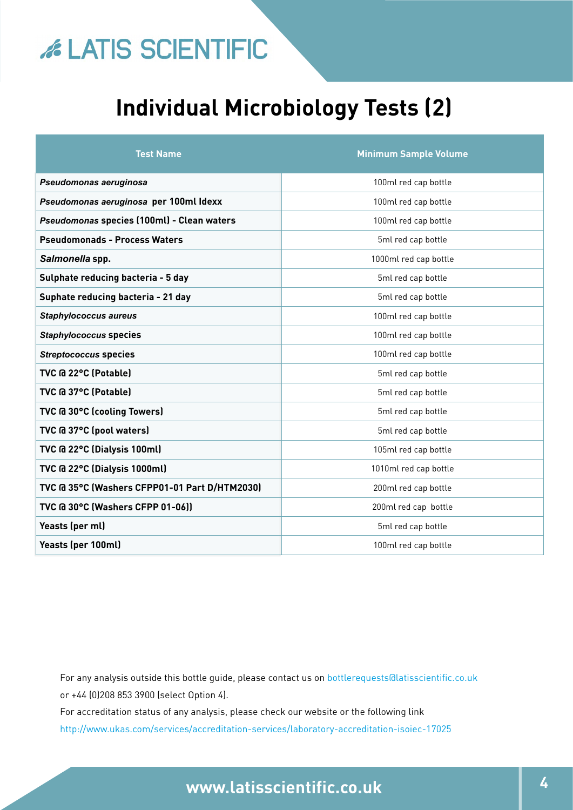## **Individual Microbiology Tests (2)**

| <b>Test Name</b>                              | <b>Minimum Sample Volume</b> |
|-----------------------------------------------|------------------------------|
| Pseudomonas aeruginosa                        | 100ml red cap bottle         |
| Pseudomonas aeruginosa per 100ml Idexx        | 100ml red cap bottle         |
| Pseudomonas species (100ml) - Clean waters    | 100ml red cap bottle         |
| <b>Pseudomonads - Process Waters</b>          | 5ml red cap bottle           |
| Salmonella spp.                               | 1000ml red cap bottle        |
| Sulphate reducing bacteria - 5 day            | 5ml red cap bottle           |
| Suphate reducing bacteria - 21 day            | 5ml red cap bottle           |
| <b>Staphylococcus aureus</b>                  | 100ml red cap bottle         |
| <b>Staphylococcus species</b>                 | 100ml red cap bottle         |
| <b>Streptococcus species</b>                  | 100ml red cap bottle         |
| TVC @ 22°C (Potable)                          | 5ml red cap bottle           |
| TVC @ 37°C (Potable)                          | 5ml red cap bottle           |
| TVC @ 30°C (cooling Towers)                   | 5ml red cap bottle           |
| TVC @ 37°C (pool waters)                      | 5ml red cap bottle           |
| TVC @ 22°C (Dialysis 100ml)                   | 105ml red cap bottle         |
| TVC @ 22°C (Dialysis 1000ml)                  | 1010ml red cap bottle        |
| TVC @ 35°C (Washers CFPP01-01 Part D/HTM2030) | 200ml red cap bottle         |
| TVC @ 30°C (Washers CFPP 01-06))              | 200ml red cap bottle         |
| Yeasts (per ml)                               | 5ml red cap bottle           |
| Yeasts (per 100ml)                            | 100ml red cap bottle         |

For any analysis outside this bottle guide, please contact us on [bottlerequests@latisscientific.co.uk](mailto:For%20any%20analysis%20outside%20this%20bottle%20guide%2C%20please%20contact%20us%20on%20bottlerequests%40latisscientific.co.uk%20or%20%2B44%20%280%29208%20853%203900%20%28select%20Option%204%29%0DFor%20accreditation%20status%20of%20any%20analysis%2C%20please%20check%20our%20website%20or%20the%20following%20link%20%0Dhttp://www.ukas.com/services/accreditation-services/laboratory-accreditation-isoiec-17025?subject=) or +44 (0)208 853 3900 (select Option 4).

For accreditation status of any analysis, please check our website or the following link <http://www.ukas.com/services/accreditation-services/laboratory-accreditation-isoiec-17025>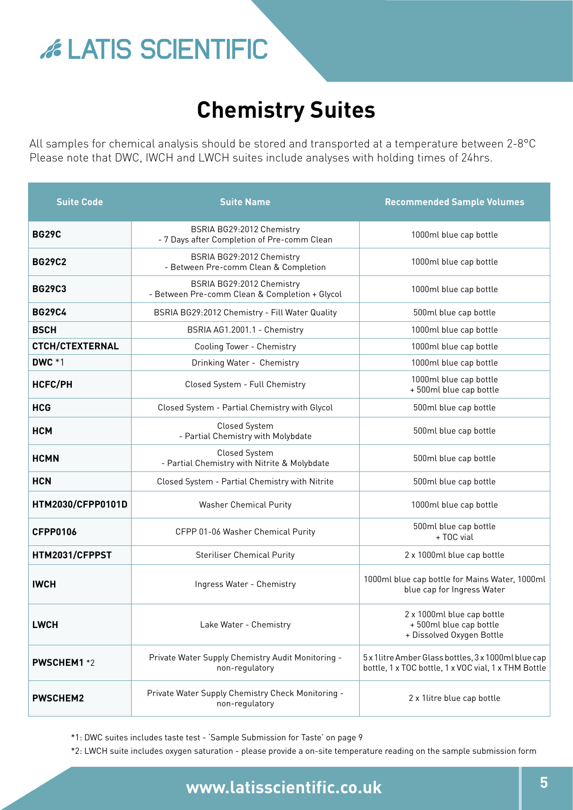## **Chemistry Suites**

All samples for chemical analysis should be stored and transported at a temperature between 2-8°C Please note that DWC, IWCH and LWCH suites include analyses with holding times of 24hrs.

| <b>Suite Code</b>        | <b>Suite Name</b>                                                           | <b>Recommended Sample Volumes</b>                                                                            |
|--------------------------|-----------------------------------------------------------------------------|--------------------------------------------------------------------------------------------------------------|
| <b>BG29C</b>             | BSRIA BG29:2012 Chemistry<br>- 7 Days after Completion of Pre-comm Clean    | 1000ml blue cap bottle                                                                                       |
| <b>BG29C2</b>            | BSRIA BG29:2012 Chemistry<br>- Between Pre-comm Clean & Completion          | 1000ml blue cap bottle                                                                                       |
| <b>BG29C3</b>            | BSRIA BG29:2012 Chemistry<br>- Between Pre-comm Clean & Completion + Glycol | 1000ml blue cap bottle                                                                                       |
| <b>BG29C4</b>            | BSRIA BG29:2012 Chemistry - Fill Water Quality                              | 500ml blue cap bottle                                                                                        |
| <b>BSCH</b>              | BSRIA AG1.2001.1 - Chemistry                                                | 1000ml blue cap bottle                                                                                       |
| <b>CTCH/CTEXTERNAL</b>   | Cooling Tower - Chemistry                                                   | 1000ml blue cap bottle                                                                                       |
| <b>DWC *1</b>            | Drinking Water - Chemistry                                                  | 1000ml blue cap bottle                                                                                       |
| <b>HCFC/PH</b>           | Closed System - Full Chemistry                                              | 1000ml blue cap bottle<br>+500ml blue cap bottle                                                             |
| <b>HCG</b>               | Closed System - Partial Chemistry with Glycol                               | 500ml blue cap bottle                                                                                        |
| <b>HCM</b>               | Closed System<br>- Partial Chemistry with Molybdate                         | 500ml blue cap bottle                                                                                        |
| <b>HCMN</b>              | Closed System<br>- Partial Chemistry with Nitrite & Molybdate               | 500ml blue cap bottle                                                                                        |
| <b>HCN</b>               | Closed System - Partial Chemistry with Nitrite                              | 500ml blue cap bottle                                                                                        |
| <b>HTM2030/CFPP0101D</b> | <b>Washer Chemical Purity</b>                                               | 1000ml blue cap bottle                                                                                       |
| <b>CFPP0106</b>          | CFPP 01-06 Washer Chemical Purity                                           | 500ml blue cap bottle<br>+ TOC vial                                                                          |
| HTM2031/CFPPST           | <b>Steriliser Chemical Purity</b>                                           | 2 x 1000ml blue cap bottle                                                                                   |
| <b>IWCH</b>              | Ingress Water - Chemistry                                                   | 1000ml blue cap bottle for Mains Water, 1000ml<br>blue cap for Ingress Water                                 |
| <b>LWCH</b>              | Lake Water - Chemistry                                                      | 2 x 1000ml blue cap bottle<br>+500ml blue cap bottle<br>+ Dissolved Oxygen Bottle                            |
| <b>PWSCHEM1</b> *2       | Private Water Supply Chemistry Audit Monitoring -<br>non-regulatory         | 5 x 1 litre Amber Glass bottles, 3 x 1000ml blue cap<br>bottle, 1 x TOC bottle, 1 x VOC vial, 1 x THM Bottle |
| <b>PWSCHEM2</b>          | Private Water Supply Chemistry Check Monitoring -<br>non-regulatory         | 2 x 1litre blue cap bottle                                                                                   |

\*1: DWC suites includes taste test - 'Sample Submission for Taste' on page 9

\*2: LWCH suite includes oxygen saturation - please provide a on-site temperature reading on the sample submission form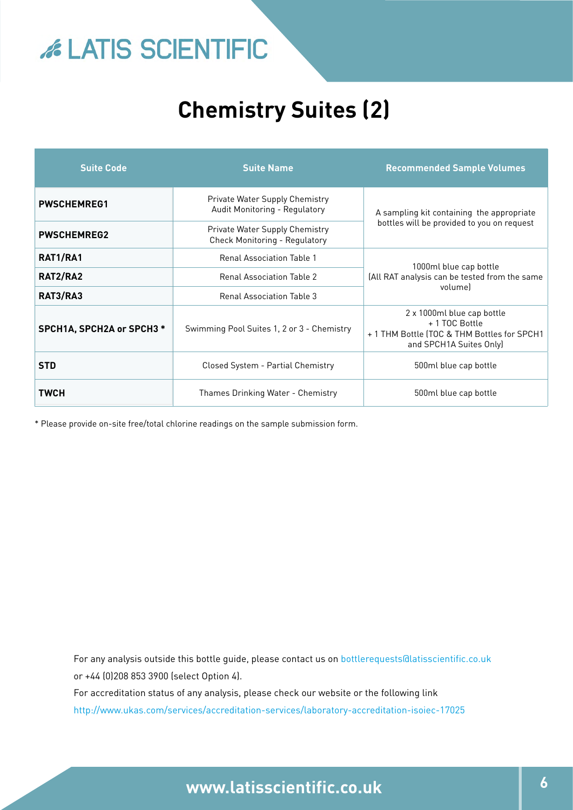# **EXAMPLE SCIENTIFIC**

## **Chemistry Suites (2)**

| <b>Suite Code</b>         | <b>Suite Name</b>                                                      | <b>Recommended Sample Volumes</b>                                                                                     |  |
|---------------------------|------------------------------------------------------------------------|-----------------------------------------------------------------------------------------------------------------------|--|
| <b>PWSCHEMREG1</b>        | <b>Private Water Supply Chemistry</b><br>Audit Monitoring - Regulatory | A sampling kit containing the appropriate                                                                             |  |
| <b>PWSCHEMREG2</b>        | Private Water Supply Chemistry<br><b>Check Monitoring - Regulatory</b> | bottles will be provided to you on request                                                                            |  |
| RAT1/RA1                  | <b>Renal Association Table 1</b>                                       | 1000ml blue cap bottle<br>(All RAT analysis can be tested from the same<br>volumel                                    |  |
| RAT2/RA2                  | <b>Renal Association Table 2</b>                                       |                                                                                                                       |  |
| RAT3/RA3                  | <b>Renal Association Table 3</b>                                       |                                                                                                                       |  |
| SPCH1A, SPCH2A or SPCH3 * | Swimming Pool Suites 1, 2 or 3 - Chemistry                             | 2 x 1000ml blue cap bottle<br>+ 1 TOC Bottle<br>+ 1 THM Bottle (TOC & THM Bottles for SPCH1<br>and SPCH1A Suites Only |  |
| <b>STD</b>                | Closed System - Partial Chemistry                                      | 500ml blue cap bottle                                                                                                 |  |
| TWCH                      | Thames Drinking Water - Chemistry                                      | 500ml blue cap bottle                                                                                                 |  |

\* Please provide on-site free/total chlorine readings on the sample submission form.

For any analysis outside this bottle guide, please contact us on bottlerequests@latisscientific.co.uk or +44 (0)208 853 3900 (select Option 4).

For accreditation status of any analysis, please check our website or the following link

<http://www.ukas.com/services/accreditation-services/laboratory-accreditation-isoiec-17025>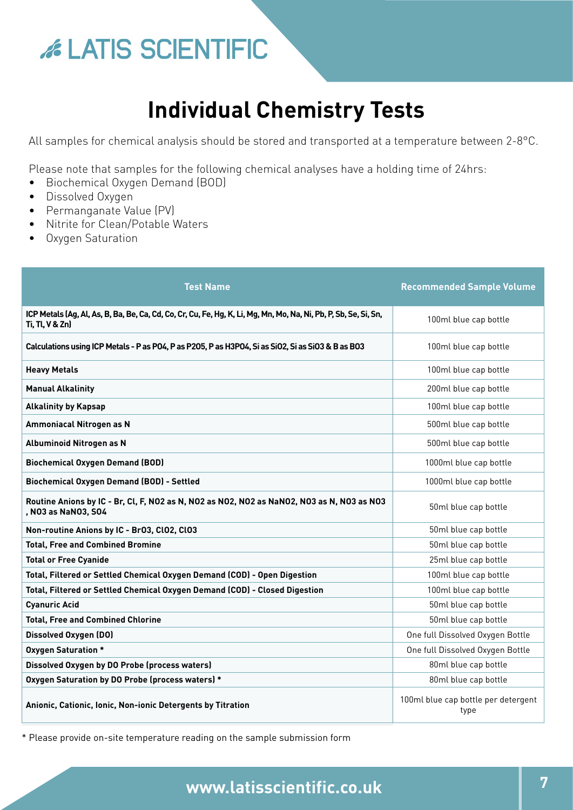## **Individual Chemistry Tests**

All samples for chemical analysis should be stored and transported at a temperature between 2-8°C.

Please note that samples for the following chemical analyses have a holding time of 24hrs:

- Biochemical Oxygen Demand (BOD)
- Dissolved Oxygen
- Permanganate Value (PV)
- Nitrite for Clean/Potable Waters
- Oxygen Saturation

| <b>Test Name</b>                                                                                                                    | <b>Recommended Sample Volume</b>            |
|-------------------------------------------------------------------------------------------------------------------------------------|---------------------------------------------|
| ICP Metals (Ag, Al, As, B, Ba, Be, Ca, Cd, Co, Cr, Cu, Fe, Hg, K, Li, Mg, Mn, Mo, Na, Ni, Pb, P, Sb, Se, Si, Sn,<br>Ti, Tl, V & Zn) | 100ml blue cap bottle                       |
| Calculations using ICP Metals - P as P04, P as P205, P as H3P04, Si as Si02, Si as Si03 & B as B03                                  | 100ml blue cap bottle                       |
| <b>Heavy Metals</b>                                                                                                                 | 100ml blue cap bottle                       |
| <b>Manual Alkalinity</b>                                                                                                            | 200ml blue cap bottle                       |
| <b>Alkalinity by Kapsap</b>                                                                                                         | 100ml blue cap bottle                       |
| <b>Ammoniacal Nitrogen as N</b>                                                                                                     | 500ml blue cap bottle                       |
| <b>Albuminoid Nitrogen as N</b>                                                                                                     | 500ml blue cap bottle                       |
| <b>Biochemical Oxygen Demand (BOD)</b>                                                                                              | 1000ml blue cap bottle                      |
| Biochemical Oxygen Demand (BOD) - Settled                                                                                           | 1000ml blue cap bottle                      |
| Routine Anions by IC - Br, Cl, F, NO2 as N, NO2 as NO2, NO2 as NaNO2, NO3 as N, NO3 as NO3<br>, N03 as NaN03, S04                   | 50ml blue cap bottle                        |
| Non-routine Anions by IC - Br03, Cl02, Cl03                                                                                         | 50ml blue cap bottle                        |
| <b>Total, Free and Combined Bromine</b>                                                                                             | 50ml blue cap bottle                        |
| <b>Total or Free Cyanide</b>                                                                                                        | 25ml blue cap bottle                        |
| Total, Filtered or Settled Chemical Oxygen Demand (COD) - Open Digestion                                                            | 100ml blue cap bottle                       |
| Total, Filtered or Settled Chemical Oxygen Demand (COD) - Closed Digestion                                                          | 100ml blue cap bottle                       |
| <b>Cyanuric Acid</b>                                                                                                                | 50ml blue cap bottle                        |
| <b>Total, Free and Combined Chlorine</b>                                                                                            | 50ml blue cap bottle                        |
| <b>Dissolved Oxygen (DO)</b>                                                                                                        | One full Dissolved Oxygen Bottle            |
| <b>Oxygen Saturation *</b>                                                                                                          | One full Dissolved Oxygen Bottle            |
| Dissolved Oxygen by DO Probe (process waters)                                                                                       | 80ml blue cap bottle                        |
| Oxygen Saturation by DO Probe (process waters) *                                                                                    | 80ml blue cap bottle                        |
| Anionic, Cationic, Ionic, Non-ionic Detergents by Titration                                                                         | 100ml blue cap bottle per detergent<br>type |

\* Please provide on-site temperature reading on the sample submission form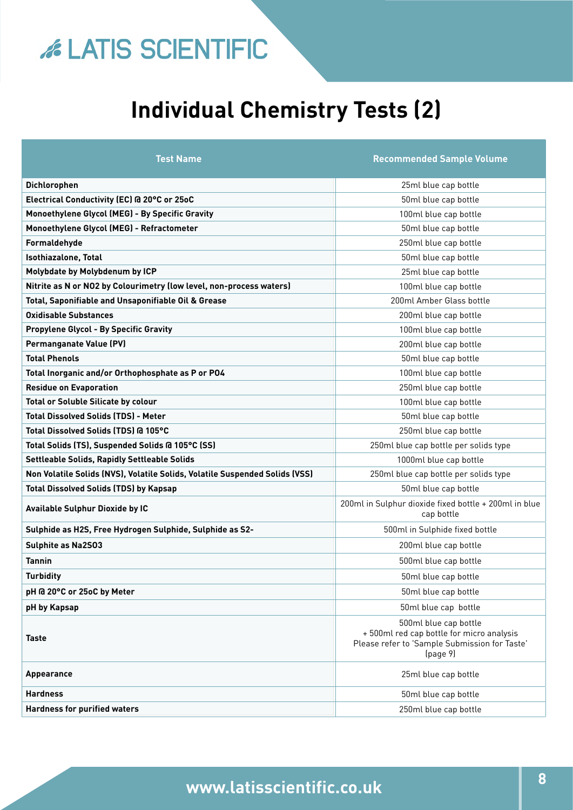## **Individual Chemistry Tests (2)**

| <b>Test Name</b>                                                            | <b>Recommended Sample Volume</b>                                                                                               |
|-----------------------------------------------------------------------------|--------------------------------------------------------------------------------------------------------------------------------|
| Dichlorophen                                                                | 25ml blue cap bottle                                                                                                           |
| Electrical Conductivity (EC) @ 20°C or 25oC                                 | 50ml blue cap bottle                                                                                                           |
| Monoethylene Glycol (MEG) - By Specific Gravity                             | 100ml blue cap bottle                                                                                                          |
| Monoethylene Glycol (MEG) - Refractometer                                   | 50ml blue cap bottle                                                                                                           |
| Formaldehyde                                                                | 250ml blue cap bottle                                                                                                          |
| Isothiazalone, Total                                                        | 50ml blue cap bottle                                                                                                           |
| Molybdate by Molybdenum by ICP                                              | 25ml blue cap bottle                                                                                                           |
| Nitrite as N or NO2 by Colourimetry (low level, non-process waters)         | 100ml blue cap bottle                                                                                                          |
| Total, Saponifiable and Unsaponifiable Oil & Grease                         | 200ml Amber Glass bottle                                                                                                       |
| <b>Oxidisable Substances</b>                                                | 200ml blue cap bottle                                                                                                          |
| <b>Propylene Glycol - By Specific Gravity</b>                               | 100ml blue cap bottle                                                                                                          |
| <b>Permanganate Value (PV)</b>                                              | 200ml blue cap bottle                                                                                                          |
| <b>Total Phenols</b>                                                        | 50ml blue cap bottle                                                                                                           |
| Total Inorganic and/or Orthophosphate as P or PO4                           | 100ml blue cap bottle                                                                                                          |
| <b>Residue on Evaporation</b>                                               | 250ml blue cap bottle                                                                                                          |
| <b>Total or Soluble Silicate by colour</b>                                  | 100ml blue cap bottle                                                                                                          |
| <b>Total Dissolved Solids (TDS) - Meter</b>                                 | 50ml blue cap bottle                                                                                                           |
| Total Dissolved Solids (TDS) @ 105°C                                        | 250ml blue cap bottle                                                                                                          |
| Total Solids (TS), Suspended Solids @ 105°C (SS)                            | 250ml blue cap bottle per solids type                                                                                          |
| Settleable Solids, Rapidly Settleable Solids                                | 1000ml blue cap bottle                                                                                                         |
| Non Volatile Solids (NVS), Volatile Solids, Volatile Suspended Solids (VSS) | 250ml blue cap bottle per solids type                                                                                          |
| <b>Total Dissolved Solids (TDS) by Kapsap</b>                               | 50ml blue cap bottle                                                                                                           |
| Available Sulphur Dioxide by IC                                             | 200ml in Sulphur dioxide fixed bottle + 200ml in blue<br>cap bottle                                                            |
| Sulphide as H2S, Free Hydrogen Sulphide, Sulphide as S2-                    | 500ml in Sulphide fixed bottle                                                                                                 |
| <b>Sulphite as Na2S03</b>                                                   | 200ml blue cap bottle                                                                                                          |
| <b>Tannin</b>                                                               | 500ml blue cap bottle                                                                                                          |
| Turbidity                                                                   | 50ml blue cap bottle                                                                                                           |
| pH @ 20°C or 25oC by Meter                                                  | 50ml blue cap bottle                                                                                                           |
| pH by Kapsap                                                                | 50ml blue cap bottle                                                                                                           |
| <b>Taste</b>                                                                | 500ml blue cap bottle<br>+500ml red cap bottle for micro analysis<br>Please refer to 'Sample Submission for Taste'<br>(page 9) |
| <b>Appearance</b>                                                           | 25ml blue cap bottle                                                                                                           |
| <b>Hardness</b>                                                             | 50ml blue cap bottle                                                                                                           |
| <b>Hardness for purified waters</b>                                         | 250ml blue cap bottle                                                                                                          |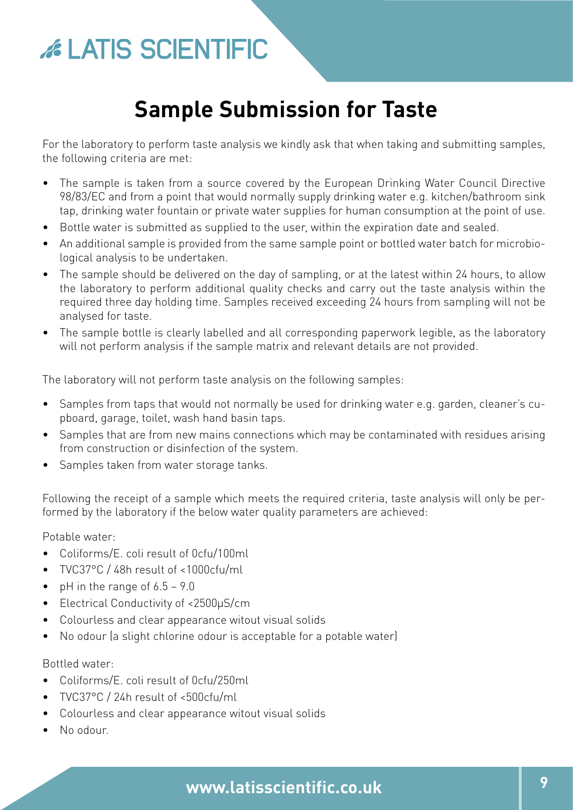## **Sample Submission for Taste**

For the laboratory to perform taste analysis we kindly ask that when taking and submitting samples, the following criteria are met:

- The sample is taken from a source covered by the European Drinking Water Council Directive 98/83/EC and from a point that would normally supply drinking water e.g. kitchen/bathroom sink tap, drinking water fountain or private water supplies for human consumption at the point of use.
- Bottle water is submitted as supplied to the user, within the expiration date and sealed.
- An additional sample is provided from the same sample point or bottled water batch for microbiological analysis to be undertaken.
- The sample should be delivered on the day of sampling, or at the latest within 24 hours, to allow the laboratory to perform additional quality checks and carry out the taste analysis within the required three day holding time. Samples received exceeding 24 hours from sampling will not be analysed for taste.
- The sample bottle is clearly labelled and all corresponding paperwork legible, as the laboratory will not perform analysis if the sample matrix and relevant details are not provided.

The laboratory will not perform taste analysis on the following samples:

- Samples from taps that would not normally be used for drinking water e.g. garden, cleaner's cupboard, garage, toilet, wash hand basin taps.
- Samples that are from new mains connections which may be contaminated with residues arising from construction or disinfection of the system.
- Samples taken from water storage tanks.

Following the receipt of a sample which meets the required criteria, taste analysis will only be performed by the laboratory if the below water quality parameters are achieved:

Potable water:

- Coliforms/E. coli result of 0cfu/100ml
- TVC37°C / 48h result of <1000cfu/ml
- pH in the range of  $6.5 9.0$
- Electrical Conductivity of <2500μS/cm
- Colourless and clear appearance witout visual solids
- No odour (a slight chlorine odour is acceptable for a potable water)

Bottled water:

- Coliforms/E. coli result of 0cfu/250ml
- TVC37°C / 24h result of <500cfu/ml
- Colourless and clear appearance witout visual solids
- No odour.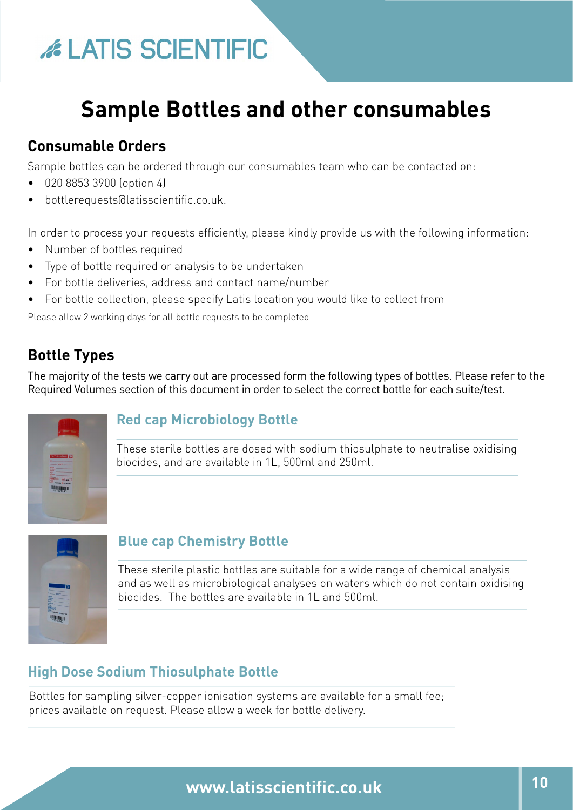## **Sample Bottles and other consumables**

## **Consumable Orders**

Sample bottles can be ordered through our consumables team who can be contacted on:

- 020 8853 3900 (option 4)
- [bottlerequests@latisscientific.co.uk.](mailto:bottlerequests%40latisscientific.co.uk.?subject=)

In order to process your requests efficiently, please kindly provide us with the following information:

- Number of bottles required
- Type of bottle required or analysis to be undertaken
- For bottle deliveries, address and contact name/number
- For bottle collection, please specify Latis location you would like to collect from

Please allow 2 working days for all bottle requests to be completed

## **Bottle Types**

The majority of the tests we carry out are processed form the following types of bottles. Please refer to the Required Volumes section of this document in order to select the correct bottle for each suite/test.



#### **Red cap Microbiology Bottle**

These sterile bottles are dosed with sodium thiosulphate to neutralise oxidising biocides, and are available in 1L, 500ml and 250ml.



#### **Blue cap Chemistry Bottle**

These sterile plastic bottles are suitable for a wide range of chemical analysis and as well as microbiological analyses on waters which do not contain oxidising biocides. The bottles are available in 1L and 500ml.

### **High Dose Sodium Thiosulphate Bottle**

Bottles for sampling silver-copper ionisation systems are available for a small fee; prices available on request. Please allow a week for bottle delivery.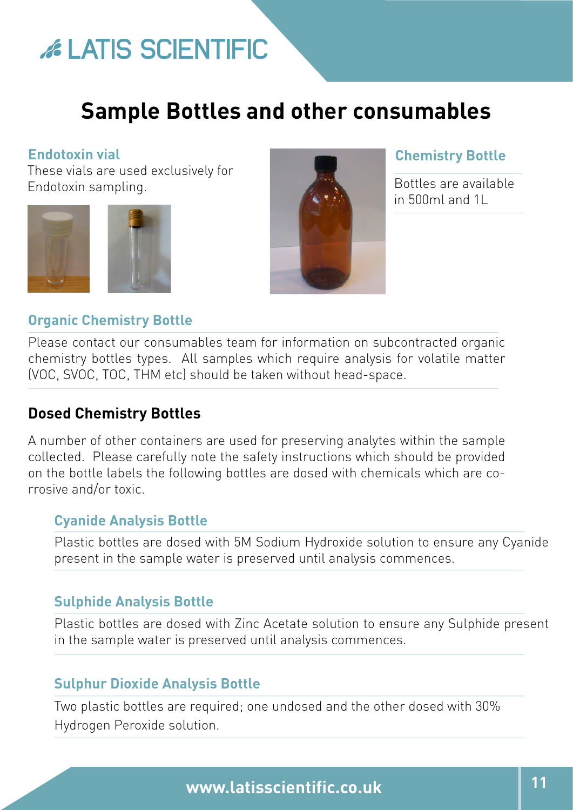## **Sample Bottles and other consumables**

#### **Endotoxin vial**

These vials are used exclusively for Endotoxin sampling.





#### **Chemistry Bottle**

Bottles are available in 500ml and 1L

#### **Organic Chemistry Bottle**

Please contact our consumables team for information on subcontracted organic chemistry bottles types. All samples which require analysis for volatile matter (VOC, SVOC, TOC, THM etc) should be taken without head-space.

#### **Dosed Chemistry Bottles**

A number of other containers are used for preserving analytes within the sample collected. Please carefully note the safety instructions which should be provided on the bottle labels the following bottles are dosed with chemicals which are corrosive and/or toxic.

#### **Cyanide Analysis Bottle**

Plastic bottles are dosed with 5M Sodium Hydroxide solution to ensure any Cyanide present in the sample water is preserved until analysis commences.

#### **Sulphide Analysis Bottle**

Plastic bottles are dosed with Zinc Acetate solution to ensure any Sulphide present in the sample water is preserved until analysis commences.

#### **Sulphur Dioxide Analysis Bottle**

Two plastic bottles are required; one undosed and the other dosed with 30% Hydrogen Peroxide solution.